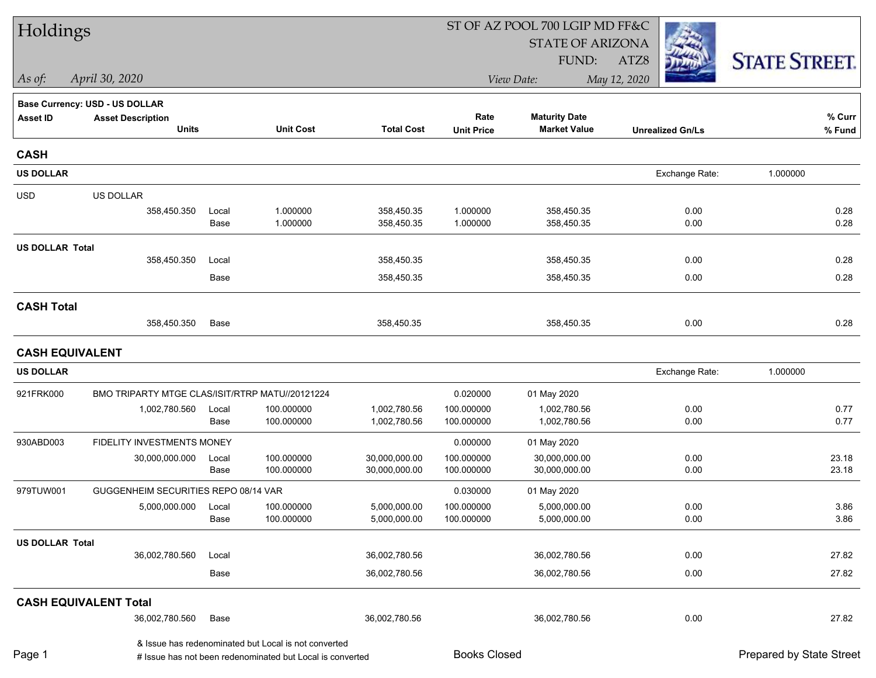| Holdings               |                                                 |               |                                                           |                              |                          | ST OF AZ POOL 700 LGIP MD FF&C |                         |                          |
|------------------------|-------------------------------------------------|---------------|-----------------------------------------------------------|------------------------------|--------------------------|--------------------------------|-------------------------|--------------------------|
|                        |                                                 |               |                                                           |                              |                          | <b>STATE OF ARIZONA</b>        |                         |                          |
|                        |                                                 |               |                                                           |                              |                          | FUND:                          | ATZ8                    | <b>STATE STREET.</b>     |
| $\vert$ As of:         | April 30, 2020                                  |               |                                                           |                              |                          | View Date:                     | May 12, 2020            |                          |
|                        | <b>Base Currency: USD - US DOLLAR</b>           |               |                                                           |                              |                          |                                |                         |                          |
| <b>Asset ID</b>        | <b>Asset Description</b>                        |               |                                                           |                              | Rate                     | <b>Maturity Date</b>           |                         | % Curr                   |
|                        | <b>Units</b>                                    |               | <b>Unit Cost</b>                                          | <b>Total Cost</b>            | <b>Unit Price</b>        | <b>Market Value</b>            | <b>Unrealized Gn/Ls</b> | % Fund                   |
| <b>CASH</b>            |                                                 |               |                                                           |                              |                          |                                |                         |                          |
| <b>US DOLLAR</b>       |                                                 |               |                                                           |                              |                          |                                | Exchange Rate:          | 1.000000                 |
| <b>USD</b>             | <b>US DOLLAR</b>                                |               |                                                           |                              |                          |                                |                         |                          |
|                        | 358,450.350                                     | Local         | 1.000000                                                  | 358,450.35                   | 1.000000                 | 358,450.35                     | 0.00                    | 0.28                     |
|                        |                                                 | Base          | 1.000000                                                  | 358,450.35                   | 1.000000                 | 358,450.35                     | 0.00                    | 0.28                     |
| <b>US DOLLAR Total</b> |                                                 |               |                                                           |                              |                          |                                |                         |                          |
|                        | 358,450.350                                     | Local         |                                                           | 358,450.35                   |                          | 358,450.35                     | 0.00                    | 0.28                     |
|                        |                                                 | Base          |                                                           | 358,450.35                   |                          | 358,450.35                     | 0.00                    | 0.28                     |
| <b>CASH Total</b>      |                                                 |               |                                                           |                              |                          |                                |                         |                          |
|                        | 358,450.350                                     | Base          |                                                           | 358,450.35                   |                          | 358,450.35                     | 0.00                    | 0.28                     |
| <b>CASH EQUIVALENT</b> |                                                 |               |                                                           |                              |                          |                                |                         |                          |
| <b>US DOLLAR</b>       |                                                 |               |                                                           |                              |                          |                                | Exchange Rate:          | 1.000000                 |
| 921FRK000              | BMO TRIPARTY MTGE CLAS/ISIT/RTRP MATU//20121224 |               |                                                           |                              | 0.020000                 | 01 May 2020                    |                         |                          |
|                        | 1,002,780.560                                   | Local         | 100.000000                                                | 1,002,780.56                 | 100.000000               | 1,002,780.56                   | 0.00                    | 0.77                     |
|                        |                                                 | Base          | 100.000000                                                | 1,002,780.56                 | 100.000000               | 1,002,780.56                   | 0.00                    | 0.77                     |
| 930ABD003              | FIDELITY INVESTMENTS MONEY                      |               |                                                           |                              | 0.000000                 | 01 May 2020                    |                         |                          |
|                        | 30,000,000.000                                  | Local         | 100.000000                                                | 30,000,000.00                | 100.000000               | 30,000,000.00                  | 0.00                    | 23.18                    |
|                        |                                                 | Base          | 100.000000                                                | 30,000,000.00                | 100.000000               | 30,000,000.00                  | 0.00                    | 23.18                    |
| 979TUW001              | GUGGENHEIM SECURITIES REPO 08/14 VAR            |               |                                                           |                              | 0.030000                 | 01 May 2020                    |                         |                          |
|                        | 5,000,000.000                                   | Local<br>Base | 100.000000<br>100.000000                                  | 5,000,000.00<br>5,000,000.00 | 100.000000<br>100.000000 | 5,000,000.00<br>5,000,000.00   | 0.00<br>0.00            | 3.86<br>3.86             |
|                        |                                                 |               |                                                           |                              |                          |                                |                         |                          |
| <b>US DOLLAR Total</b> | 36,002,780.560                                  | Local         |                                                           | 36,002,780.56                |                          | 36,002,780.56                  | 0.00                    | 27.82                    |
|                        |                                                 |               |                                                           |                              |                          |                                | 0.00                    | 27.82                    |
|                        |                                                 | Base          |                                                           | 36,002,780.56                |                          | 36,002,780.56                  |                         |                          |
|                        | <b>CASH EQUIVALENT Total</b>                    |               |                                                           |                              |                          |                                |                         |                          |
|                        | 36,002,780.560                                  | Base          |                                                           | 36,002,780.56                |                          | 36,002,780.56                  | 0.00                    | 27.82                    |
| Page 1                 |                                                 |               | & Issue has redenominated but Local is not converted      |                              | <b>Books Closed</b>      |                                |                         | Prepared by State Street |
|                        |                                                 |               | # Issue has not been redenominated but Local is converted |                              |                          |                                |                         |                          |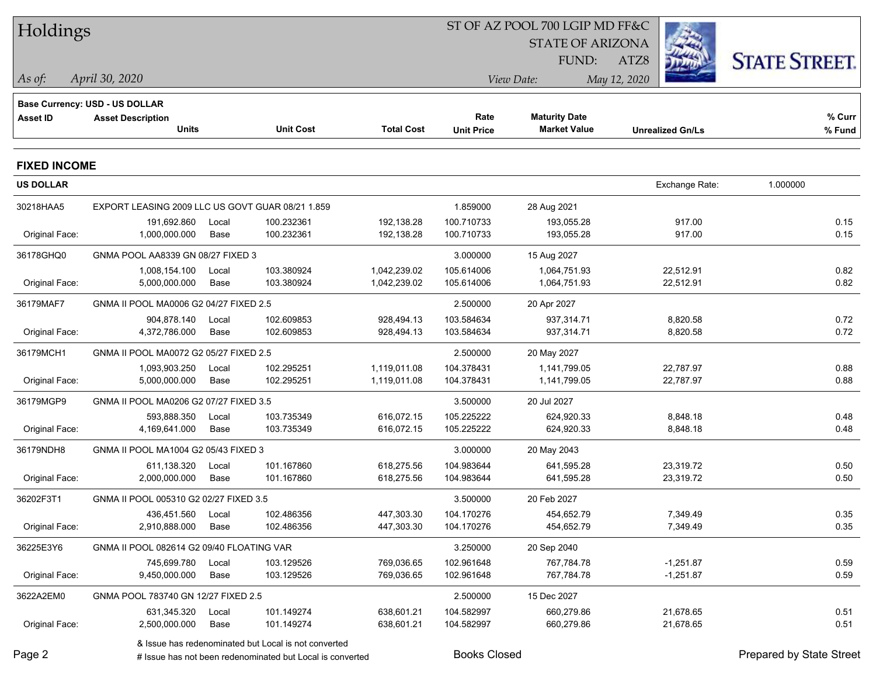| Holdings            |                                                  |       |                                                           |                   |                     | ST OF AZ POOL 700 LGIP MD FF&C |                         |                          |
|---------------------|--------------------------------------------------|-------|-----------------------------------------------------------|-------------------|---------------------|--------------------------------|-------------------------|--------------------------|
|                     |                                                  |       |                                                           |                   |                     | <b>STATE OF ARIZONA</b>        |                         |                          |
|                     |                                                  |       |                                                           |                   |                     | FUND:                          | ATZ8                    | <b>STATE STREET.</b>     |
| As of:              | April 30, 2020                                   |       |                                                           |                   |                     | View Date:                     | May 12, 2020            |                          |
|                     | Base Currency: USD - US DOLLAR                   |       |                                                           |                   |                     |                                |                         |                          |
| <b>Asset ID</b>     | <b>Asset Description</b>                         |       |                                                           |                   | Rate                | <b>Maturity Date</b>           |                         | % Curr                   |
|                     | <b>Units</b>                                     |       | <b>Unit Cost</b>                                          | <b>Total Cost</b> | <b>Unit Price</b>   | <b>Market Value</b>            | <b>Unrealized Gn/Ls</b> | % Fund                   |
| <b>FIXED INCOME</b> |                                                  |       |                                                           |                   |                     |                                |                         |                          |
| <b>US DOLLAR</b>    |                                                  |       |                                                           |                   |                     |                                | Exchange Rate:          | 1.000000                 |
| 30218HAA5           | EXPORT LEASING 2009 LLC US GOVT GUAR 08/21 1.859 |       |                                                           |                   | 1.859000            | 28 Aug 2021                    |                         |                          |
|                     | 191,692.860                                      | Local | 100.232361                                                | 192,138.28        | 100.710733          | 193,055.28                     | 917.00                  | 0.15                     |
| Original Face:      | 1,000,000.000                                    | Base  | 100.232361                                                | 192,138.28        | 100.710733          | 193,055.28                     | 917.00                  | 0.15                     |
| 36178GHQ0           | GNMA POOL AA8339 GN 08/27 FIXED 3                |       |                                                           |                   | 3.000000            | 15 Aug 2027                    |                         |                          |
|                     | 1,008,154.100                                    | Local | 103.380924                                                | 1,042,239.02      | 105.614006          | 1,064,751.93                   | 22,512.91               | 0.82                     |
| Original Face:      | 5,000,000.000                                    | Base  | 103.380924                                                | 1,042,239.02      | 105.614006          | 1,064,751.93                   | 22,512.91               | 0.82                     |
| 36179MAF7           | GNMA II POOL MA0006 G2 04/27 FIXED 2.5           |       |                                                           |                   | 2.500000            | 20 Apr 2027                    |                         |                          |
|                     | 904.878.140                                      | Local | 102.609853                                                | 928,494.13        | 103.584634          | 937,314.71                     | 8,820.58                | 0.72                     |
| Original Face:      | 4,372,786.000                                    | Base  | 102.609853                                                | 928,494.13        | 103.584634          | 937,314.71                     | 8,820.58                | 0.72                     |
| 36179MCH1           | GNMA II POOL MA0072 G2 05/27 FIXED 2.5           |       |                                                           |                   | 2.500000            | 20 May 2027                    |                         |                          |
|                     | 1,093,903.250                                    | Local | 102.295251                                                | 1,119,011.08      | 104.378431          | 1,141,799.05                   | 22,787.97               | 0.88                     |
| Original Face:      | 5,000,000.000                                    | Base  | 102.295251                                                | 1,119,011.08      | 104.378431          | 1,141,799.05                   | 22,787.97               | 0.88                     |
| 36179MGP9           | GNMA II POOL MA0206 G2 07/27 FIXED 3.5           |       |                                                           |                   | 3.500000            | 20 Jul 2027                    |                         |                          |
|                     | 593,888.350                                      | Local | 103.735349                                                | 616,072.15        | 105.225222          | 624,920.33                     | 8,848.18                | 0.48                     |
| Original Face:      | 4,169,641.000                                    | Base  | 103.735349                                                | 616,072.15        | 105.225222          | 624,920.33                     | 8,848.18                | 0.48                     |
| 36179NDH8           | GNMA II POOL MA1004 G2 05/43 FIXED 3             |       |                                                           |                   | 3.000000            | 20 May 2043                    |                         |                          |
|                     | 611,138.320                                      | Local | 101.167860                                                | 618,275.56        | 104.983644          | 641,595.28                     | 23,319.72               | 0.50                     |
| Original Face:      | 2,000,000.000                                    | Base  | 101.167860                                                | 618,275.56        | 104.983644          | 641,595.28                     | 23,319.72               | 0.50                     |
| 36202F3T1           | GNMA II POOL 005310 G2 02/27 FIXED 3.5           |       |                                                           |                   | 3.500000            | 20 Feb 2027                    |                         |                          |
|                     | 436,451.560 Local                                |       | 102.486356                                                | 447,303.30        | 104.170276          | 454,652.79                     | 7,349.49                | 0.35                     |
| Original Face:      | 2,910,888.000                                    | Base  | 102.486356                                                | 447,303.30        | 104.170276          | 454,652.79                     | 7,349.49                | 0.35                     |
| 36225E3Y6           | GNMA II POOL 082614 G2 09/40 FLOATING VAR        |       |                                                           |                   | 3.250000            | 20 Sep 2040                    |                         |                          |
|                     | 745,699.780                                      | Local | 103.129526                                                | 769,036.65        | 102.961648          | 767,784.78                     | $-1,251.87$             | 0.59                     |
| Original Face:      | 9,450,000.000                                    | Base  | 103.129526                                                | 769,036.65        | 102.961648          | 767,784.78                     | $-1,251.87$             | 0.59                     |
| 3622A2EM0           | GNMA POOL 783740 GN 12/27 FIXED 2.5              |       |                                                           |                   | 2.500000            | 15 Dec 2027                    |                         |                          |
|                     | 631,345.320                                      | Local | 101.149274                                                | 638,601.21        | 104.582997          | 660,279.86                     | 21,678.65               | 0.51                     |
| Original Face:      | 2,500,000.000                                    | Base  | 101.149274                                                | 638,601.21        | 104.582997          | 660,279.86                     | 21,678.65               | 0.51                     |
|                     |                                                  |       | & Issue has redenominated but Local is not converted      |                   |                     |                                |                         |                          |
| Page 2              |                                                  |       | # Issue has not been redenominated but Local is converted |                   | <b>Books Closed</b> |                                |                         | Prepared by State Street |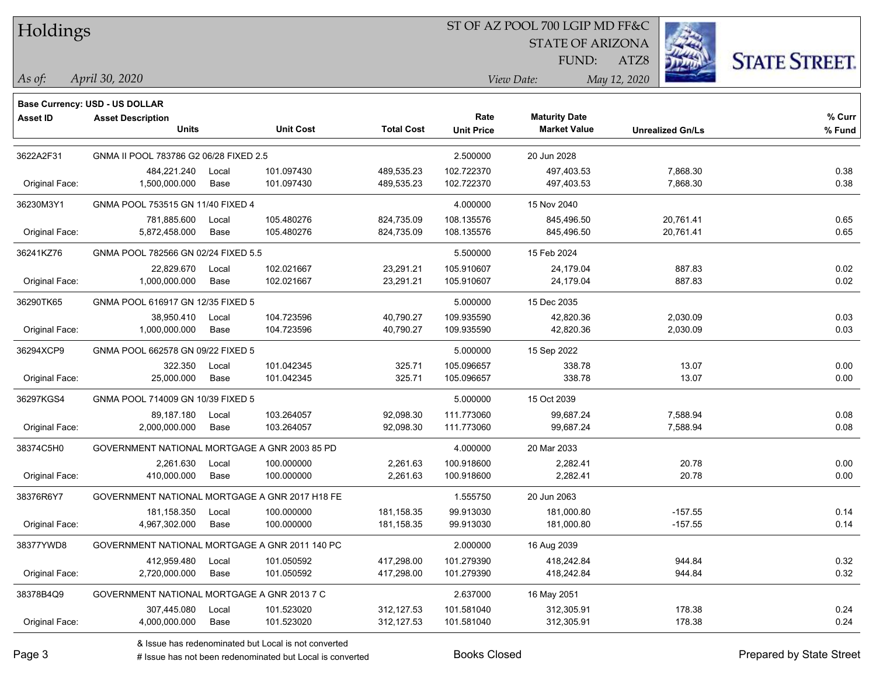## ST OF AZ POOL 700 LGIP MD FF&C

STATE OF ARIZONA

ATZ8



*April 30, 2020 As of: View Date: May 12, 2020*

**Base Currency: USD - US DOLLAR**

FUND:

| Asset ID       | <b>Asset Description</b><br><b>Units</b>       | <b>Unit Cost</b>    | <b>Total Cost</b> | Rate<br><b>Unit Price</b> | <b>Maturity Date</b><br><b>Market Value</b> | <b>Unrealized Gn/Ls</b> | % Curr<br>% Fund |
|----------------|------------------------------------------------|---------------------|-------------------|---------------------------|---------------------------------------------|-------------------------|------------------|
|                |                                                |                     |                   |                           |                                             |                         |                  |
| 3622A2F31      | GNMA II POOL 783786 G2 06/28 FIXED 2.5         |                     |                   | 2.500000                  | 20 Jun 2028                                 |                         |                  |
|                | 484,221.240                                    | 101.097430<br>Local | 489,535.23        | 102.722370                | 497,403.53                                  | 7,868.30                | 0.38             |
| Original Face: | 1,500,000.000                                  | Base<br>101.097430  | 489,535.23        | 102.722370                | 497,403.53                                  | 7,868.30                | 0.38             |
| 36230M3Y1      | GNMA POOL 753515 GN 11/40 FIXED 4              |                     |                   | 4.000000                  | 15 Nov 2040                                 |                         |                  |
|                | 781,885.600                                    | 105.480276<br>Local | 824,735.09        | 108.135576                | 845,496.50                                  | 20,761.41               | 0.65             |
| Original Face: | 5,872,458.000                                  | 105.480276<br>Base  | 824,735.09        | 108.135576                | 845,496.50                                  | 20,761.41               | 0.65             |
| 36241KZ76      | GNMA POOL 782566 GN 02/24 FIXED 5.5            |                     |                   | 5.500000                  | 15 Feb 2024                                 |                         |                  |
|                | 22,829.670                                     | 102.021667<br>Local | 23,291.21         | 105.910607                | 24,179.04                                   | 887.83                  | 0.02             |
| Original Face: | 1,000,000.000                                  | Base<br>102.021667  | 23,291.21         | 105.910607                | 24,179.04                                   | 887.83                  | 0.02             |
| 36290TK65      | GNMA POOL 616917 GN 12/35 FIXED 5              |                     |                   | 5.000000                  | 15 Dec 2035                                 |                         |                  |
|                | 38,950.410                                     | 104.723596<br>Local | 40,790.27         | 109.935590                | 42,820.36                                   | 2,030.09                | 0.03             |
| Original Face: | 1,000,000.000                                  | Base<br>104.723596  | 40,790.27         | 109.935590                | 42,820.36                                   | 2,030.09                | 0.03             |
| 36294XCP9      | GNMA POOL 662578 GN 09/22 FIXED 5              |                     |                   | 5.000000                  | 15 Sep 2022                                 |                         |                  |
|                | 322.350                                        | Local<br>101.042345 | 325.71            | 105.096657                | 338.78                                      | 13.07                   | 0.00             |
| Original Face: | 25,000.000                                     | Base<br>101.042345  | 325.71            | 105.096657                | 338.78                                      | 13.07                   | 0.00             |
| 36297KGS4      | GNMA POOL 714009 GN 10/39 FIXED 5              |                     |                   | 5.000000                  | 15 Oct 2039                                 |                         |                  |
|                | 89,187.180                                     | 103.264057<br>Local | 92,098.30         | 111.773060                | 99,687.24                                   | 7,588.94                | 0.08             |
| Original Face: | 2,000,000.000                                  | Base<br>103.264057  | 92,098.30         | 111.773060                | 99,687.24                                   | 7,588.94                | 0.08             |
| 38374C5H0      | GOVERNMENT NATIONAL MORTGAGE A GNR 2003 85 PD  |                     |                   | 4.000000                  | 20 Mar 2033                                 |                         |                  |
|                | 2,261.630                                      | 100.000000<br>Local | 2,261.63          | 100.918600                | 2,282.41                                    | 20.78                   | 0.00             |
| Original Face: | 410,000.000                                    | 100.000000<br>Base  | 2,261.63          | 100.918600                | 2,282.41                                    | 20.78                   | 0.00             |
| 38376R6Y7      | GOVERNMENT NATIONAL MORTGAGE A GNR 2017 H18 FE |                     |                   | 1.555750                  | 20 Jun 2063                                 |                         |                  |
|                | 181,158.350                                    | 100.000000<br>Local | 181, 158.35       | 99.913030                 | 181,000.80                                  | $-157.55$               | 0.14             |
| Original Face: | 4,967,302.000                                  | 100.000000<br>Base  | 181, 158.35       | 99.913030                 | 181,000.80                                  | $-157.55$               | 0.14             |
| 38377YWD8      | GOVERNMENT NATIONAL MORTGAGE A GNR 2011 140 PC |                     |                   | 2.000000                  | 16 Aug 2039                                 |                         |                  |
|                | 412,959.480                                    | 101.050592<br>Local | 417,298.00        | 101.279390                | 418,242.84                                  | 944.84                  | 0.32             |
| Original Face: | 2,720,000.000                                  | Base<br>101.050592  | 417,298.00        | 101.279390                | 418,242.84                                  | 944.84                  | 0.32             |
| 38378B4Q9      | GOVERNMENT NATIONAL MORTGAGE A GNR 2013 7 C    |                     |                   | 2.637000                  | 16 May 2051                                 |                         |                  |
|                | 307,445.080                                    | 101.523020<br>Local | 312,127.53        | 101.581040                | 312,305.91                                  | 178.38                  | 0.24             |
| Original Face: | 4,000,000.000                                  | 101.523020<br>Base  | 312,127.53        | 101.581040                | 312,305.91                                  | 178.38                  | 0.24             |

A ISSUE ISSUE ISSUE ISSUE ISSUE ISSUE ISSUE ISSUE ISSUE ISSUE ISSUE ISSUE ISSUE ISSUE ISSUE ISSUE ISSUE ISSUE I<br>
# Issue has not been redenominated but Local is converted **BOOKS** Closed **Prepared by State Street**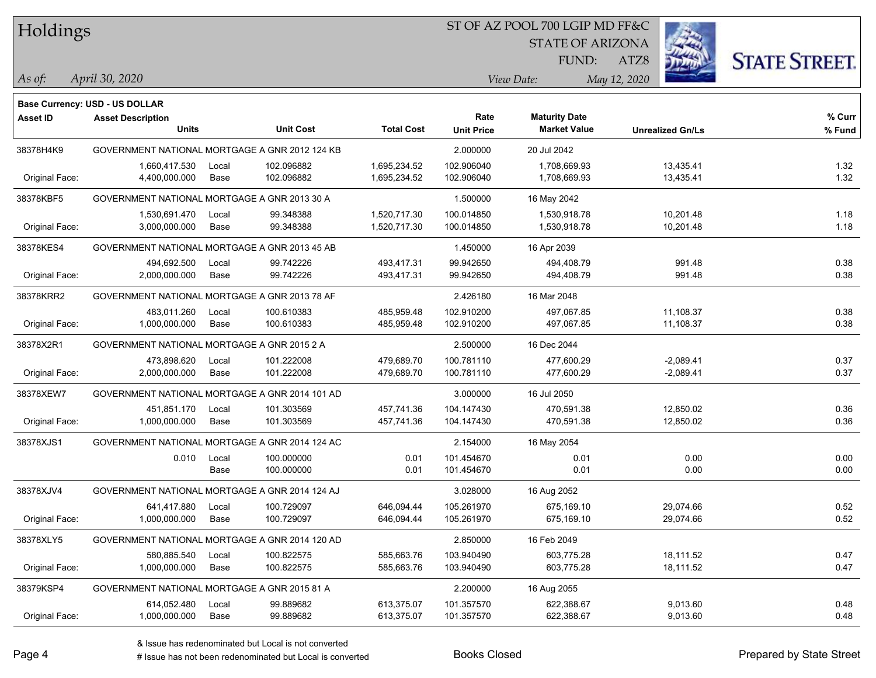### ST OF AZ POOL 700 LGIP MD FF&C

STATE OF ARIZONA

ATZ8



*April 30, 2020 As of: View Date: May 12, 2020*

**Base Currency: USD - US DOLLAR**

FUND:

| <b>Asset ID</b> | <b>Asset Description</b>                       |       |                  |                   | Rate              | <b>Maturity Date</b> |                         | % Curr |
|-----------------|------------------------------------------------|-------|------------------|-------------------|-------------------|----------------------|-------------------------|--------|
|                 | <b>Units</b>                                   |       | <b>Unit Cost</b> | <b>Total Cost</b> | <b>Unit Price</b> | <b>Market Value</b>  | <b>Unrealized Gn/Ls</b> | % Fund |
| 38378H4K9       | GOVERNMENT NATIONAL MORTGAGE A GNR 2012 124 KB |       |                  |                   | 2.000000          | 20 Jul 2042          |                         |        |
|                 | 1,660,417.530                                  | Local | 102.096882       | 1,695,234.52      | 102.906040        | 1,708,669.93         | 13,435.41               | 1.32   |
| Original Face:  | 4,400,000.000                                  | Base  | 102.096882       | 1,695,234.52      | 102.906040        | 1,708,669.93         | 13,435.41               | 1.32   |
| 38378KBF5       | GOVERNMENT NATIONAL MORTGAGE A GNR 2013 30 A   |       |                  |                   | 1.500000          | 16 May 2042          |                         |        |
|                 | 1,530,691.470                                  | Local | 99.348388        | 1,520,717.30      | 100.014850        | 1,530,918.78         | 10,201.48               | 1.18   |
| Original Face:  | 3,000,000.000                                  | Base  | 99.348388        | 1,520,717.30      | 100.014850        | 1,530,918.78         | 10,201.48               | 1.18   |
| 38378KES4       | GOVERNMENT NATIONAL MORTGAGE A GNR 2013 45 AB  |       |                  |                   | 1.450000          | 16 Apr 2039          |                         |        |
|                 | 494,692.500                                    | Local | 99.742226        | 493,417.31        | 99.942650         | 494,408.79           | 991.48                  | 0.38   |
| Original Face:  | 2,000,000.000                                  | Base  | 99.742226        | 493,417.31        | 99.942650         | 494,408.79           | 991.48                  | 0.38   |
| 38378KRR2       | GOVERNMENT NATIONAL MORTGAGE A GNR 2013 78 AF  |       |                  |                   | 2.426180          | 16 Mar 2048          |                         |        |
|                 | 483,011.260                                    | Local | 100.610383       | 485,959.48        | 102.910200        | 497.067.85           | 11,108.37               | 0.38   |
| Original Face:  | 1,000,000.000                                  | Base  | 100.610383       | 485,959.48        | 102.910200        | 497,067.85           | 11,108.37               | 0.38   |
| 38378X2R1       | GOVERNMENT NATIONAL MORTGAGE A GNR 2015 2 A    |       |                  |                   | 2.500000          | 16 Dec 2044          |                         |        |
|                 | 473,898.620                                    | Local | 101.222008       | 479,689.70        | 100.781110        | 477,600.29           | $-2,089.41$             | 0.37   |
| Original Face:  | 2,000,000.000                                  | Base  | 101.222008       | 479,689.70        | 100.781110        | 477,600.29           | $-2,089.41$             | 0.37   |
| 38378XEW7       | GOVERNMENT NATIONAL MORTGAGE A GNR 2014 101 AD |       |                  |                   | 3.000000          | 16 Jul 2050          |                         |        |
|                 | 451,851.170                                    | Local | 101.303569       | 457.741.36        | 104.147430        | 470,591.38           | 12,850.02               | 0.36   |
| Original Face:  | 1,000,000.000                                  | Base  | 101.303569       | 457,741.36        | 104.147430        | 470,591.38           | 12,850.02               | 0.36   |
| 38378XJS1       | GOVERNMENT NATIONAL MORTGAGE A GNR 2014 124 AC |       |                  |                   | 2.154000          | 16 May 2054          |                         |        |
|                 | 0.010                                          | Local | 100.000000       | 0.01              | 101.454670        | 0.01                 | 0.00                    | 0.00   |
|                 |                                                | Base  | 100.000000       | 0.01              | 101.454670        | 0.01                 | 0.00                    | 0.00   |
| 38378XJV4       | GOVERNMENT NATIONAL MORTGAGE A GNR 2014 124 AJ |       |                  |                   | 3.028000          | 16 Aug 2052          |                         |        |
|                 | 641,417.880                                    | Local | 100.729097       | 646,094.44        | 105.261970        | 675,169.10           | 29,074.66               | 0.52   |
| Original Face:  | 1,000,000.000                                  | Base  | 100.729097       | 646,094.44        | 105.261970        | 675,169.10           | 29,074.66               | 0.52   |
| 38378XLY5       | GOVERNMENT NATIONAL MORTGAGE A GNR 2014 120 AD |       |                  |                   | 2.850000          | 16 Feb 2049          |                         |        |
|                 | 580,885.540                                    | Local | 100.822575       | 585,663.76        | 103.940490        | 603,775.28           | 18,111.52               | 0.47   |
| Original Face:  | 1,000,000.000                                  | Base  | 100.822575       | 585,663.76        | 103.940490        | 603,775.28           | 18,111.52               | 0.47   |
| 38379KSP4       | GOVERNMENT NATIONAL MORTGAGE A GNR 2015 81 A   |       |                  |                   | 2.200000          | 16 Aug 2055          |                         |        |
|                 | 614,052.480                                    | Local | 99.889682        | 613,375.07        | 101.357570        | 622,388.67           | 9,013.60                | 0.48   |
| Original Face:  | 1,000,000.000                                  | Base  | 99.889682        | 613,375.07        | 101.357570        | 622,388.67           | 9,013.60                | 0.48   |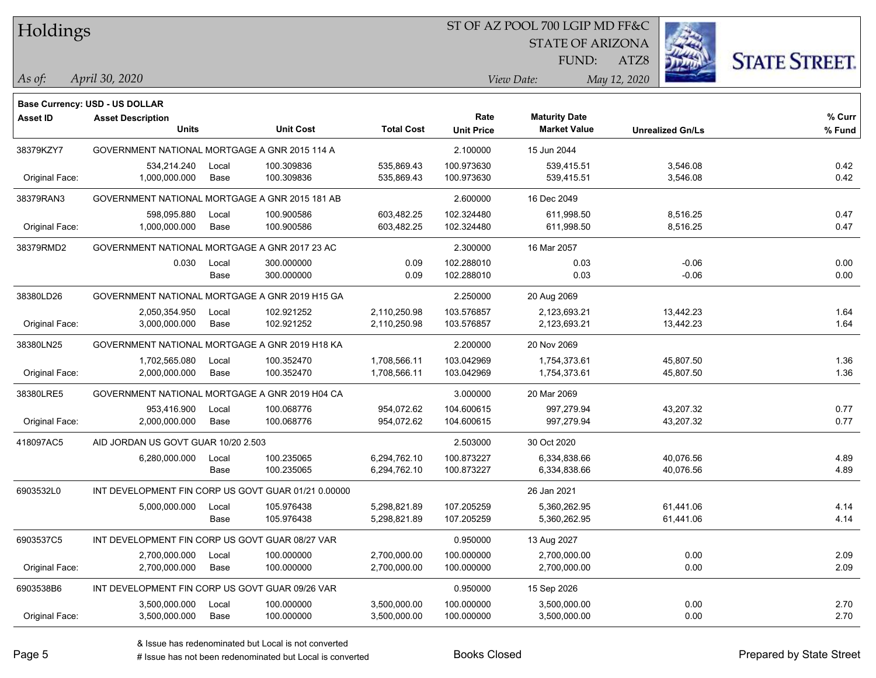#### ST OF AZ POOL 700 LGIP MD FF&C

STATE OF ARIZONA

FUND:

ATZ8



*April 30, 2020 As of: View Date: May 12, 2020*

**Base Currency: USD - US DOLLAR**

| <b>Asset ID</b> | <b>Asset Description</b>                            |       |                  |                   | Rate              | <b>Maturity Date</b> |                         | % Curr |
|-----------------|-----------------------------------------------------|-------|------------------|-------------------|-------------------|----------------------|-------------------------|--------|
|                 | <b>Units</b>                                        |       | <b>Unit Cost</b> | <b>Total Cost</b> | <b>Unit Price</b> | <b>Market Value</b>  | <b>Unrealized Gn/Ls</b> | % Fund |
| 38379KZY7       | GOVERNMENT NATIONAL MORTGAGE A GNR 2015 114 A       |       |                  |                   | 2.100000          | 15 Jun 2044          |                         |        |
|                 | 534,214.240                                         | Local | 100.309836       | 535,869.43        | 100.973630        | 539,415.51           | 3,546.08                | 0.42   |
| Original Face:  | 1,000,000.000                                       | Base  | 100.309836       | 535,869.43        | 100.973630        | 539,415.51           | 3,546.08                | 0.42   |
| 38379RAN3       | GOVERNMENT NATIONAL MORTGAGE A GNR 2015 181 AB      |       |                  |                   | 2.600000          | 16 Dec 2049          |                         |        |
|                 | 598,095.880                                         | Local | 100.900586       | 603,482.25        | 102.324480        | 611,998.50           | 8,516.25                | 0.47   |
| Original Face:  | 1,000,000.000                                       | Base  | 100.900586       | 603,482.25        | 102.324480        | 611,998.50           | 8,516.25                | 0.47   |
| 38379RMD2       | GOVERNMENT NATIONAL MORTGAGE A GNR 2017 23 AC       |       |                  |                   | 2.300000          | 16 Mar 2057          |                         |        |
|                 | 0.030                                               | Local | 300.000000       | 0.09              | 102.288010        | 0.03                 | $-0.06$                 | 0.00   |
|                 |                                                     | Base  | 300.000000       | 0.09              | 102.288010        | 0.03                 | $-0.06$                 | 0.00   |
| 38380LD26       | GOVERNMENT NATIONAL MORTGAGE A GNR 2019 H15 GA      |       |                  |                   | 2.250000          | 20 Aug 2069          |                         |        |
|                 | 2,050,354.950                                       | Local | 102.921252       | 2,110,250.98      | 103.576857        | 2,123,693.21         | 13,442.23               | 1.64   |
| Original Face:  | 3,000,000.000                                       | Base  | 102.921252       | 2,110,250.98      | 103.576857        | 2,123,693.21         | 13,442.23               | 1.64   |
| 38380LN25       | GOVERNMENT NATIONAL MORTGAGE A GNR 2019 H18 KA      |       |                  |                   | 2.200000          | 20 Nov 2069          |                         |        |
|                 | 1,702,565.080                                       | Local | 100.352470       | 1,708,566.11      | 103.042969        | 1,754,373.61         | 45,807.50               | 1.36   |
| Original Face:  | 2,000,000.000                                       | Base  | 100.352470       | 1,708,566.11      | 103.042969        | 1,754,373.61         | 45,807.50               | 1.36   |
| 38380LRE5       | GOVERNMENT NATIONAL MORTGAGE A GNR 2019 H04 CA      |       |                  |                   | 3.000000          | 20 Mar 2069          |                         |        |
|                 | 953,416.900                                         | Local | 100.068776       | 954,072.62        | 104.600615        | 997,279.94           | 43,207.32               | 0.77   |
| Original Face:  | 2,000,000.000                                       | Base  | 100.068776       | 954,072.62        | 104.600615        | 997,279.94           | 43,207.32               | 0.77   |
| 418097AC5       | AID JORDAN US GOVT GUAR 10/20 2.503                 |       |                  |                   | 2.503000          | 30 Oct 2020          |                         |        |
|                 | 6,280,000.000                                       | Local | 100.235065       | 6,294,762.10      | 100.873227        | 6,334,838.66         | 40,076.56               | 4.89   |
|                 |                                                     | Base  | 100.235065       | 6,294,762.10      | 100.873227        | 6,334,838.66         | 40,076.56               | 4.89   |
| 6903532L0       | INT DEVELOPMENT FIN CORP US GOVT GUAR 01/21 0.00000 |       |                  |                   |                   | 26 Jan 2021          |                         |        |
|                 | 5,000,000.000                                       | Local | 105.976438       | 5,298,821.89      | 107.205259        | 5,360,262.95         | 61,441.06               | 4.14   |
|                 |                                                     | Base  | 105.976438       | 5,298,821.89      | 107.205259        | 5,360,262.95         | 61,441.06               | 4.14   |
| 6903537C5       | INT DEVELOPMENT FIN CORP US GOVT GUAR 08/27 VAR     |       |                  |                   | 0.950000          | 13 Aug 2027          |                         |        |
|                 | 2,700,000.000                                       | Local | 100.000000       | 2,700,000.00      | 100.000000        | 2,700,000.00         | 0.00                    | 2.09   |
| Original Face:  | 2,700,000.000                                       | Base  | 100.000000       | 2,700,000.00      | 100.000000        | 2,700,000.00         | 0.00                    | 2.09   |
| 6903538B6       | INT DEVELOPMENT FIN CORP US GOVT GUAR 09/26 VAR     |       |                  |                   | 0.950000          | 15 Sep 2026          |                         |        |
|                 | 3,500,000.000                                       | Local | 100.000000       | 3,500,000.00      | 100.000000        | 3.500.000.00         | 0.00                    | 2.70   |

Original Face: 3,500,000.000 Base 100.000000 3,500,000.00 100.000000 3,500,000.00 0.00 2.70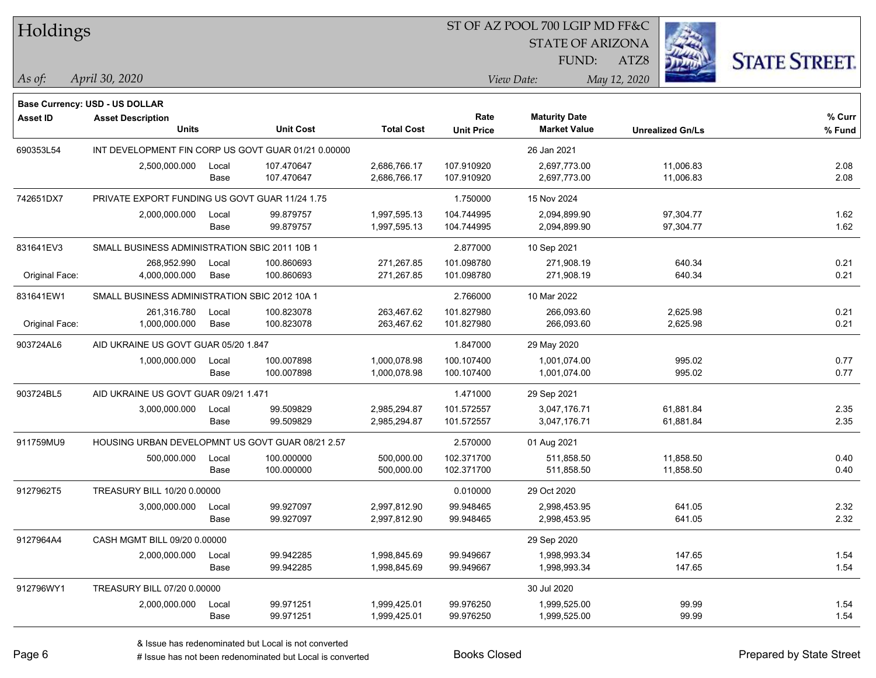#### ST OF AZ POOL 700 LGIP MD FF&C

STATE OF ARIZONA

FUND:

ATZ8



**% Fund**

**% Curr**

*April 30, 2020 As of: View Date: May 12, 2020*

**Base Currency: USD - US DOLLAR**

| Asset ID  | <b>Asset Description</b>                            |       |                  |                   | Rate              | <b>Maturity Date</b> |                         | % Cur  |
|-----------|-----------------------------------------------------|-------|------------------|-------------------|-------------------|----------------------|-------------------------|--------|
|           | <b>Units</b>                                        |       | <b>Unit Cost</b> | <b>Total Cost</b> | <b>Unit Price</b> | <b>Market Value</b>  | <b>Unrealized Gn/Ls</b> | % Fund |
| 690353L54 | INT DEVELOPMENT FIN CORP US GOVT GUAR 01/21 0.00000 |       |                  |                   |                   | 26 Jan 2021          |                         |        |
|           | 2,500,000.000                                       | Local | 107.470647       | 2.686.766.17      | 107.910920        | 2.697.773.00         | 11.006.83               | 2.08   |
|           |                                                     | Base  | 107.470647       | 2,686,766.17      | 107.910920        | 2.697.773.00         | 11,006.83               | 2.08   |
| 742651DX7 | PRIVATE EXPORT FUNDING US GOVT GUAR 11/24 1.75      |       |                  |                   | 1.750000          | 15 Nov 2024          |                         |        |
|           | 2,000,000.000                                       | Local | 99.879757        | 1,997,595.13      | 104.744995        | 2.094.899.90         | 97,304.77               | 1.62   |
|           |                                                     | Base  | 99.879757        | 1.997.595.13      | 104.744995        | 2.094.899.90         | 97.304.77               | 1.62   |
| 831641EV3 | SMALL BUSINESS ADMINISTRATION SBIC 2011 10B 1       |       |                  | 2.877000          | 10 Sep 2021       |                      |                         |        |

| 831641EV3      | SMALL BUSINESS ADMINISTRATION SBIC 2011 10B 1    |             |            |              | 2.877000   | 10 Sep 2021  |           |      |
|----------------|--------------------------------------------------|-------------|------------|--------------|------------|--------------|-----------|------|
|                | 268,952.990                                      | Local       | 100.860693 | 271,267.85   | 101.098780 | 271.908.19   | 640.34    | 0.21 |
| Original Face: | 4,000,000.000                                    | <b>Base</b> | 100.860693 | 271,267.85   | 101.098780 | 271,908.19   | 640.34    | 0.21 |
| 831641EW1      | SMALL BUSINESS ADMINISTRATION SBIC 2012 10A 1    |             |            |              | 2.766000   | 10 Mar 2022  |           |      |
|                | 261,316.780                                      | Local       | 100.823078 | 263,467.62   | 101.827980 | 266,093.60   | 2,625.98  | 0.21 |
| Original Face: | 1.000.000.000                                    | Base        | 100.823078 | 263,467.62   | 101.827980 | 266.093.60   | 2,625.98  | 0.21 |
| 903724AL6      | AID UKRAINE US GOVT GUAR 05/20 1.847             |             |            |              | 1.847000   | 29 May 2020  |           |      |
|                | 1.000.000.000                                    | Local       | 100.007898 | 1,000,078.98 | 100.107400 | 1,001,074.00 | 995.02    | 0.77 |
|                |                                                  | Base        | 100.007898 | 1,000,078.98 | 100.107400 | 1,001,074.00 | 995.02    | 0.77 |
| 903724BL5      | AID UKRAINE US GOVT GUAR 09/21 1.471             |             |            |              | 1.471000   | 29 Sep 2021  |           |      |
|                | 3,000,000.000                                    | Local       | 99.509829  | 2,985,294.87 | 101.572557 | 3,047,176.71 | 61,881.84 | 2.35 |
|                |                                                  | <b>Base</b> | 99.509829  | 2,985,294.87 | 101.572557 | 3,047,176.71 | 61,881.84 | 2.35 |
| 911759MU9      | HOUSING URBAN DEVELOPMNT US GOVT GUAR 08/21 2.57 |             |            |              | 2.570000   | 01 Aug 2021  |           |      |
|                | 500,000.000                                      | Local       | 100.000000 | 500,000.00   | 102.371700 | 511,858.50   | 11,858.50 | 0.40 |
|                |                                                  | Base        | 100.000000 | 500,000.00   | 102.371700 | 511,858.50   | 11,858.50 | 0.40 |
| 9127962T5      | TREASURY BILL 10/20 0.00000                      |             |            |              | 0.010000   | 29 Oct 2020  |           |      |
|                | 3,000,000.000                                    | Local       | 99.927097  | 2,997,812.90 | 99.948465  | 2,998,453.95 | 641.05    | 2.32 |
|                |                                                  | Base        | 99.927097  | 2,997,812.90 | 99.948465  | 2,998,453.95 | 641.05    | 2.32 |
| 9127964A4      | CASH MGMT BILL 09/20 0.00000                     |             |            |              |            | 29 Sep 2020  |           |      |
|                | 2,000,000.000                                    | Local       | 99.942285  | 1,998,845.69 | 99.949667  | 1,998,993.34 | 147.65    | 1.54 |
|                |                                                  | Base        | 99.942285  | 1,998,845.69 | 99.949667  | 1,998,993.34 | 147.65    | 1.54 |
| 912796WY1      | TREASURY BILL 07/20 0.00000                      |             |            |              |            | 30 Jul 2020  |           |      |
|                | 2.000.000.000                                    | Local       | 99.971251  | 1.999.425.01 | 99.976250  | 1.999.525.00 | 99.99     | 1.54 |

# Issue has not been redenominated but Local is converted Books Closed Prepared by State Street

Base 99.971251 1,999,425.01 99.976250 1,999,525.00 99.99 1.54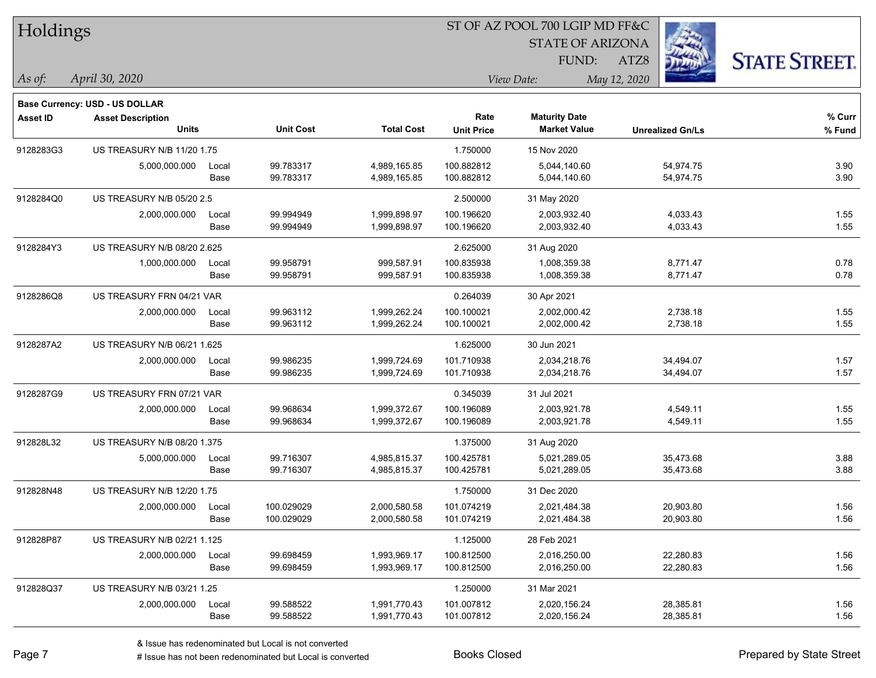| Holdings        |                                       |       |                  |                   |                   | ST OF AZ POOL 700 LGIP MD FF&C |                         |                      |
|-----------------|---------------------------------------|-------|------------------|-------------------|-------------------|--------------------------------|-------------------------|----------------------|
|                 |                                       |       |                  |                   |                   | <b>STATE OF ARIZONA</b>        |                         |                      |
|                 |                                       |       |                  |                   |                   | FUND:                          | ATZ8                    | <b>STATE STREET.</b> |
| As of:          | April 30, 2020                        |       |                  |                   |                   | View Date:                     | May 12, 2020            |                      |
|                 | <b>Base Currency: USD - US DOLLAR</b> |       |                  |                   |                   |                                |                         |                      |
| <b>Asset ID</b> | <b>Asset Description</b>              |       |                  |                   | Rate              | <b>Maturity Date</b>           |                         | % Curr               |
|                 | <b>Units</b>                          |       | <b>Unit Cost</b> | <b>Total Cost</b> | <b>Unit Price</b> | <b>Market Value</b>            | <b>Unrealized Gn/Ls</b> | % Fund               |
| 9128283G3       | US TREASURY N/B 11/20 1.75            |       |                  |                   | 1.750000          | 15 Nov 2020                    |                         |                      |
|                 | 5,000,000.000                         | Local | 99.783317        | 4,989,165.85      | 100.882812        | 5,044,140.60                   | 54,974.75               | 3.90                 |
|                 |                                       | Base  | 99.783317        | 4,989,165.85      | 100.882812        | 5,044,140.60                   | 54,974.75               | 3.90                 |
| 9128284Q0       | US TREASURY N/B 05/20 2.5             |       |                  |                   | 2.500000          | 31 May 2020                    |                         |                      |
|                 | 2,000,000.000                         | Local | 99.994949        | 1,999,898.97      | 100.196620        | 2,003,932.40                   | 4,033.43                | 1.55                 |
|                 |                                       | Base  | 99.994949        | 1,999,898.97      | 100.196620        | 2,003,932.40                   | 4,033.43                | 1.55                 |
| 9128284Y3       | US TREASURY N/B 08/20 2.625           |       |                  |                   | 2.625000          | 31 Aug 2020                    |                         |                      |
|                 | 1,000,000.000                         | Local | 99.958791        | 999,587.91        | 100.835938        | 1,008,359.38                   | 8,771.47                | 0.78                 |
|                 |                                       | Base  | 99.958791        | 999,587.91        | 100.835938        | 1,008,359.38                   | 8,771.47                | 0.78                 |
| 9128286Q8       | US TREASURY FRN 04/21 VAR             |       |                  |                   | 0.264039          | 30 Apr 2021                    |                         |                      |
|                 | 2,000,000.000                         | Local | 99.963112        | 1,999,262.24      | 100.100021        | 2,002,000.42                   | 2,738.18                | 1.55                 |
|                 |                                       | Base  | 99.963112        | 1,999,262.24      | 100.100021        | 2,002,000.42                   | 2,738.18                | 1.55                 |
| 9128287A2       | US TREASURY N/B 06/21 1.625           |       |                  |                   | 1.625000          | 30 Jun 2021                    |                         |                      |
|                 | 2,000,000.000                         | Local | 99.986235        | 1,999,724.69      | 101.710938        | 2,034,218.76                   | 34,494.07               | 1.57                 |
|                 |                                       | Base  | 99.986235        | 1,999,724.69      | 101.710938        | 2,034,218.76                   | 34,494.07               | 1.57                 |
| 9128287G9       | US TREASURY FRN 07/21 VAR             |       |                  |                   | 0.345039          | 31 Jul 2021                    |                         |                      |
|                 | 2,000,000.000                         | Local | 99.968634        | 1,999,372.67      | 100.196089        | 2,003,921.78                   | 4,549.11                | 1.55                 |
|                 |                                       | Base  | 99.968634        | 1,999,372.67      | 100.196089        | 2,003,921.78                   | 4,549.11                | 1.55                 |
| 912828L32       | US TREASURY N/B 08/20 1.375           |       |                  |                   | 1.375000          | 31 Aug 2020                    |                         |                      |
|                 | 5,000,000.000                         | Local | 99.716307        | 4,985,815.37      | 100.425781        | 5,021,289.05                   | 35,473.68               | 3.88                 |
|                 |                                       | Base  | 99.716307        | 4,985,815.37      | 100.425781        | 5,021,289.05                   | 35,473.68               | 3.88                 |
| 912828N48       | US TREASURY N/B 12/20 1.75            |       |                  |                   | 1.750000          | 31 Dec 2020                    |                         |                      |
|                 | 2,000,000.000                         | Local | 100.029029       | 2,000,580.58      | 101.074219        | 2,021,484.38                   | 20,903.80               | 1.56                 |
|                 |                                       | Base  | 100.029029       | 2,000,580.58      | 101.074219        | 2,021,484.38                   | 20,903.80               | 1.56                 |
| 912828P87       | US TREASURY N/B 02/21 1.125           |       |                  |                   | 1.125000          | 28 Feb 2021                    |                         |                      |
|                 | 2,000,000.000                         | Local | 99.698459        | 1,993,969.17      | 100.812500        | 2,016,250.00                   | 22,280.83               | 1.56                 |
|                 |                                       | Base  | 99.698459        | 1,993,969.17      | 100.812500        | 2,016,250.00                   | 22,280.83               | 1.56                 |
| 912828Q37       | US TREASURY N/B 03/21 1.25            |       |                  |                   | 1.250000          | 31 Mar 2021                    |                         |                      |
|                 | 2,000,000.000                         | Local | 99.588522        | 1,991,770.43      | 101.007812        | 2,020,156.24                   | 28,385.81               | 1.56                 |
|                 |                                       | Base  | 99.588522        | 1,991,770.43      | 101.007812        | 2,020,156.24                   | 28,385.81               | 1.56                 |

ST OF AZ POOL 700 LGIP MD FF&C

 $\frac{1}{2}$ 

 $\overline{\phantom{0}}$ 

 $\overline{\phantom{0}}$ 

 $\overline{\phantom{a}}$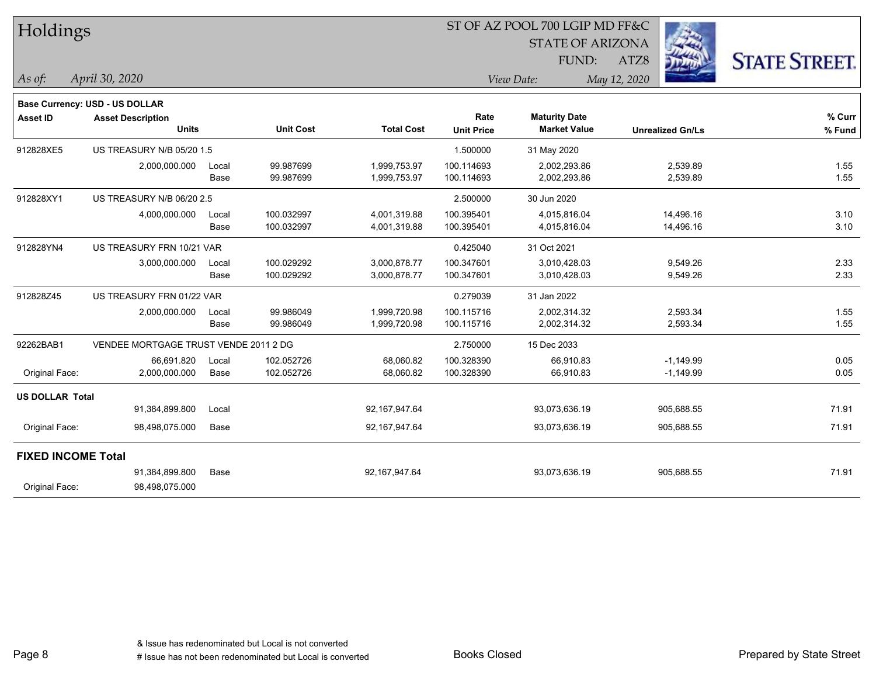| Holdings                  |                                       |       |                  |                   |                   | ST OF AZ POOL 700 LGIP MD FF&C |              |                         |                      |
|---------------------------|---------------------------------------|-------|------------------|-------------------|-------------------|--------------------------------|--------------|-------------------------|----------------------|
|                           |                                       |       |                  |                   |                   | <b>STATE OF ARIZONA</b>        |              |                         |                      |
|                           |                                       |       |                  |                   |                   | FUND:                          | ATZ8         |                         | <b>STATE STREET.</b> |
| As of:                    | April 30, 2020                        |       |                  |                   |                   | View Date:                     | May 12, 2020 |                         |                      |
|                           | Base Currency: USD - US DOLLAR        |       |                  |                   |                   |                                |              |                         |                      |
| <b>Asset ID</b>           | <b>Asset Description</b>              |       |                  |                   | Rate              | <b>Maturity Date</b>           |              |                         | % Curr               |
|                           | <b>Units</b>                          |       | <b>Unit Cost</b> | <b>Total Cost</b> | <b>Unit Price</b> | <b>Market Value</b>            |              | <b>Unrealized Gn/Ls</b> | % Fund               |
| 912828XE5                 | US TREASURY N/B 05/20 1.5             |       |                  |                   | 1.500000          | 31 May 2020                    |              |                         |                      |
|                           | 2,000,000.000                         | Local | 99.987699        | 1,999,753.97      | 100.114693        | 2.002.293.86                   |              | 2,539.89                | 1.55                 |
|                           |                                       | Base  | 99.987699        | 1,999,753.97      | 100.114693        | 2,002,293.86                   |              | 2,539.89                | 1.55                 |
| 912828XY1                 | US TREASURY N/B 06/20 2.5             |       |                  |                   | 2.500000          | 30 Jun 2020                    |              |                         |                      |
|                           | 4,000,000.000                         | Local | 100.032997       | 4,001,319.88      | 100.395401        | 4,015,816.04                   |              | 14,496.16               | 3.10                 |
|                           |                                       | Base  | 100.032997       | 4,001,319.88      | 100.395401        | 4,015,816.04                   |              | 14,496.16               | 3.10                 |
| 912828YN4                 | US TREASURY FRN 10/21 VAR             |       |                  |                   | 0.425040          | 31 Oct 2021                    |              |                         |                      |
|                           | 3,000,000.000                         | Local | 100.029292       | 3,000,878.77      | 100.347601        | 3,010,428.03                   |              | 9,549.26                | 2.33                 |
|                           |                                       | Base  | 100.029292       | 3,000,878.77      | 100.347601        | 3,010,428.03                   |              | 9,549.26                | 2.33                 |
| 912828Z45                 | US TREASURY FRN 01/22 VAR             |       |                  |                   | 0.279039          | 31 Jan 2022                    |              |                         |                      |
|                           | 2,000,000.000                         | Local | 99.986049        | 1,999,720.98      | 100.115716        | 2,002,314.32                   |              | 2,593.34                | 1.55                 |
|                           |                                       | Base  | 99.986049        | 1,999,720.98      | 100.115716        | 2,002,314.32                   |              | 2,593.34                | 1.55                 |
| 92262BAB1                 | VENDEE MORTGAGE TRUST VENDE 2011 2 DG |       |                  |                   | 2.750000          | 15 Dec 2033                    |              |                         |                      |
|                           | 66,691.820                            | Local | 102.052726       | 68,060.82         | 100.328390        | 66,910.83                      |              | $-1,149.99$             | 0.05                 |
| Original Face:            | 2,000,000.000                         | Base  | 102.052726       | 68,060.82         | 100.328390        | 66,910.83                      |              | $-1,149.99$             | 0.05                 |
| <b>US DOLLAR Total</b>    |                                       |       |                  |                   |                   |                                |              |                         |                      |
|                           | 91,384,899.800                        | Local |                  | 92,167,947.64     |                   | 93,073,636.19                  |              | 905,688.55              | 71.91                |
| Original Face:            | 98,498,075.000                        | Base  |                  | 92,167,947.64     |                   | 93,073,636.19                  |              | 905,688.55              | 71.91                |
| <b>FIXED INCOME Total</b> |                                       |       |                  |                   |                   |                                |              |                         |                      |
|                           | 91,384,899.800                        | Base  |                  | 92,167,947.64     |                   | 93,073,636.19                  |              | 905,688.55              | 71.91                |
| Original Face:            | 98,498,075.000                        |       |                  |                   |                   |                                |              |                         |                      |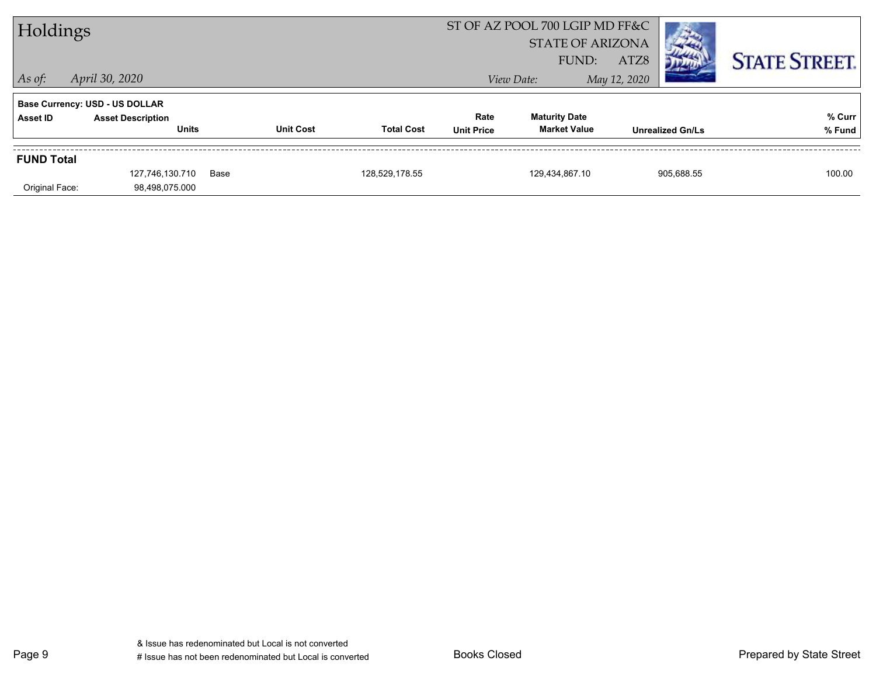| Holdings                            |                                                                                   |      |                  |                   |                           | ST OF AZ POOL 700 LGIP MD FF&C<br><b>STATE OF ARIZONA</b> |                      |                         |                      |
|-------------------------------------|-----------------------------------------------------------------------------------|------|------------------|-------------------|---------------------------|-----------------------------------------------------------|----------------------|-------------------------|----------------------|
| $\vert$ As of:                      | April 30, 2020                                                                    |      |                  |                   |                           | FUND:<br>View Date:                                       | ATZ8<br>May 12, 2020 |                         | <b>STATE STREET.</b> |
| Asset ID                            | <b>Base Currency: USD - US DOLLAR</b><br><b>Asset Description</b><br><b>Units</b> |      | <b>Unit Cost</b> | <b>Total Cost</b> | Rate<br><b>Unit Price</b> | <b>Maturity Date</b><br><b>Market Value</b>               |                      | <b>Unrealized Gn/Ls</b> | % Curr<br>% Fund     |
| <b>FUND Total</b><br>Original Face: | 127.746.130.710<br>98,498,075.000                                                 | Base |                  | 128.529.178.55    |                           | 129.434.867.10                                            |                      | 905.688.55              | 100.00               |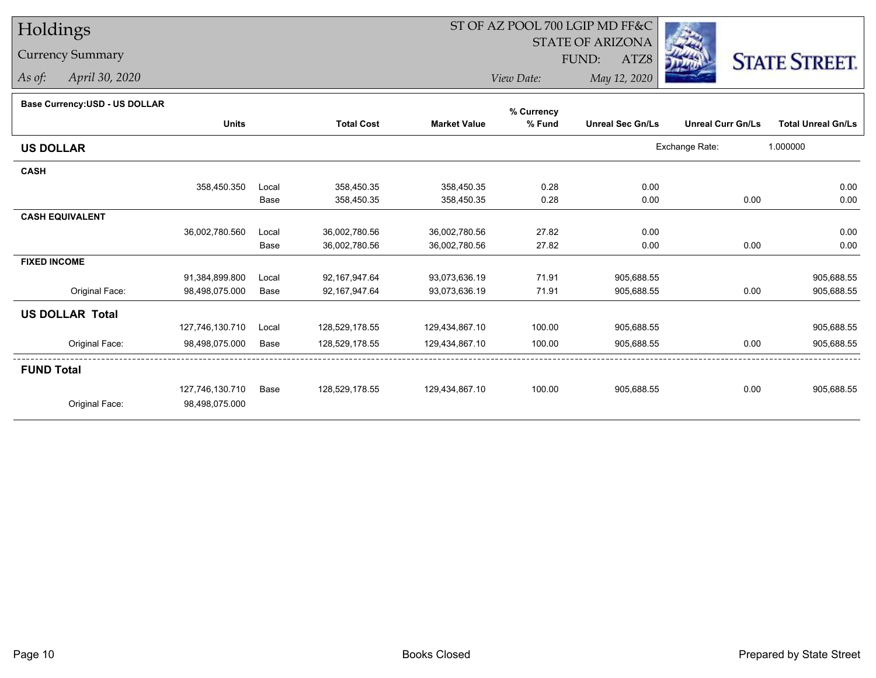Currency Summary

*As of: April 30, 2020*

# ST OF AZ POOL 700 LGIP MD FF&C

STATE OF ARIZONA

ATZ8



*View Date:May 12, 2020*

FUND:

#### **Base Currency:USD - US DOLLAR**

|                        |                 |       |                   |                     | % Currency |                         |                          |                           |
|------------------------|-----------------|-------|-------------------|---------------------|------------|-------------------------|--------------------------|---------------------------|
|                        | <b>Units</b>    |       | <b>Total Cost</b> | <b>Market Value</b> | % Fund     | <b>Unreal Sec Gn/Ls</b> | <b>Unreal Curr Gn/Ls</b> | <b>Total Unreal Gn/Ls</b> |
| <b>US DOLLAR</b>       |                 |       |                   |                     |            |                         | Exchange Rate:           | 1.000000                  |
| <b>CASH</b>            |                 |       |                   |                     |            |                         |                          |                           |
|                        | 358,450.350     | Local | 358,450.35        | 358,450.35          | 0.28       | 0.00                    |                          | 0.00                      |
|                        |                 | Base  | 358,450.35        | 358,450.35          | 0.28       | 0.00                    | 0.00                     | 0.00                      |
| <b>CASH EQUIVALENT</b> |                 |       |                   |                     |            |                         |                          |                           |
|                        | 36,002,780.560  | Local | 36,002,780.56     | 36,002,780.56       | 27.82      | 0.00                    |                          | 0.00                      |
|                        |                 | Base  | 36,002,780.56     | 36,002,780.56       | 27.82      | 0.00                    | 0.00                     | 0.00                      |
| <b>FIXED INCOME</b>    |                 |       |                   |                     |            |                         |                          |                           |
|                        | 91,384,899.800  | Local | 92,167,947.64     | 93,073,636.19       | 71.91      | 905,688.55              |                          | 905,688.55                |
| Original Face:         | 98,498,075.000  | Base  | 92,167,947.64     | 93,073,636.19       | 71.91      | 905,688.55              | 0.00                     | 905,688.55                |
| <b>US DOLLAR Total</b> |                 |       |                   |                     |            |                         |                          |                           |
|                        | 127,746,130.710 | Local | 128,529,178.55    | 129,434,867.10      | 100.00     | 905,688.55              |                          | 905,688.55                |
| Original Face:         | 98,498,075.000  | Base  | 128,529,178.55    | 129,434,867.10      | 100.00     | 905,688.55              | 0.00                     | 905,688.55                |
| <b>FUND Total</b>      |                 |       |                   |                     |            |                         |                          |                           |
|                        | 127,746,130.710 | Base  | 128,529,178.55    | 129,434,867.10      | 100.00     | 905,688.55              | 0.00                     | 905,688.55                |
| Original Face:         | 98,498,075.000  |       |                   |                     |            |                         |                          |                           |
|                        |                 |       |                   |                     |            |                         |                          |                           |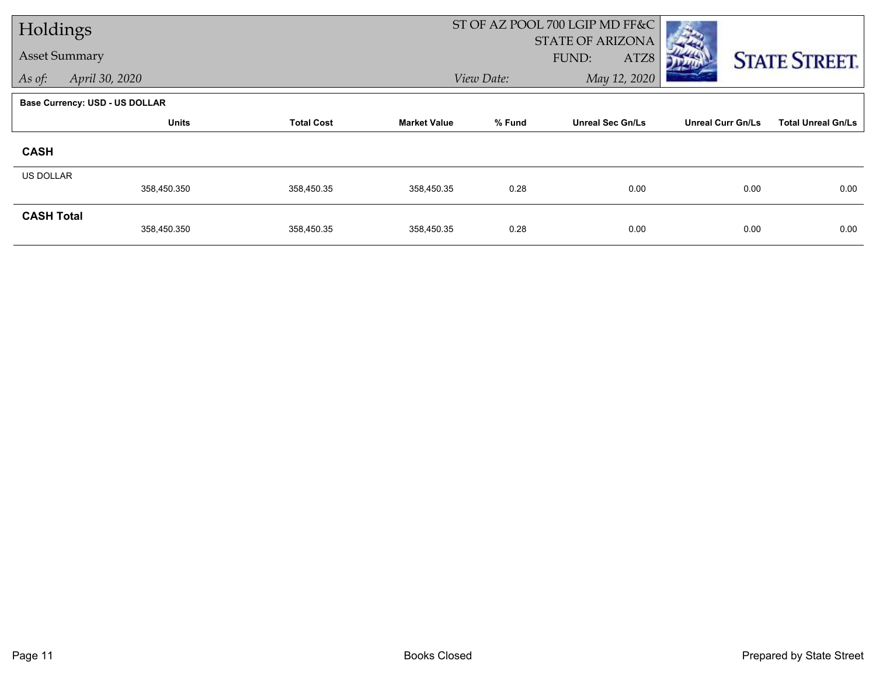| Holdings             |                                       |                   |                     |            | ST OF AZ POOL 700 LGIP MD FF&C           |                          |                           |
|----------------------|---------------------------------------|-------------------|---------------------|------------|------------------------------------------|--------------------------|---------------------------|
| <b>Asset Summary</b> |                                       |                   |                     |            | <b>STATE OF ARIZONA</b><br>FUND:<br>ATZ8 |                          |                           |
| As of:               | April 30, 2020                        |                   |                     | View Date: | May 12, 2020                             |                          | <b>STATE STREET.</b>      |
|                      |                                       |                   |                     |            |                                          |                          |                           |
|                      | <b>Base Currency: USD - US DOLLAR</b> |                   |                     |            |                                          |                          |                           |
|                      | <b>Units</b>                          | <b>Total Cost</b> | <b>Market Value</b> | % Fund     | <b>Unreal Sec Gn/Ls</b>                  | <b>Unreal Curr Gn/Ls</b> | <b>Total Unreal Gn/Ls</b> |
| <b>CASH</b>          |                                       |                   |                     |            |                                          |                          |                           |
| US DOLLAR            |                                       |                   |                     |            |                                          |                          |                           |
|                      | 358,450.350                           | 358,450.35        | 358,450.35          | 0.28       | 0.00                                     | 0.00                     | 0.00                      |
| <b>CASH Total</b>    |                                       |                   |                     |            |                                          |                          |                           |
|                      | 358,450.350                           | 358,450.35        | 358,450.35          | 0.28       | 0.00                                     | 0.00                     | 0.00                      |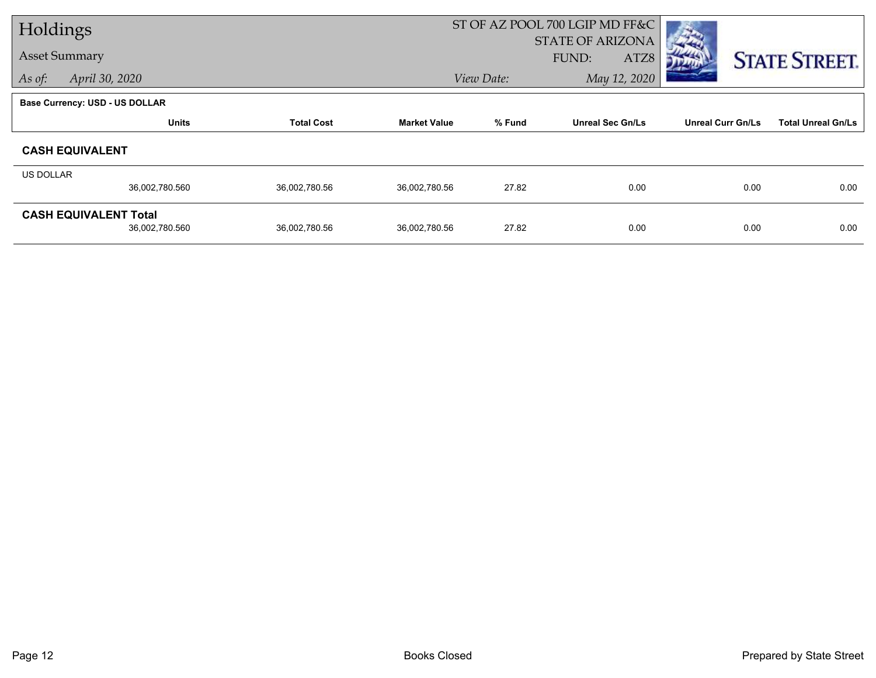| Holdings             |                                |                   | ST OF AZ POOL 700 LGIP MD FF&C |                                  |                         |                          |                           |  |
|----------------------|--------------------------------|-------------------|--------------------------------|----------------------------------|-------------------------|--------------------------|---------------------------|--|
| <b>Asset Summary</b> |                                |                   |                                | <b>STATE OF ARIZONA</b><br>FUND: |                         |                          |                           |  |
|                      |                                |                   |                                |                                  | ATZ8                    |                          | <b>STATE STREET.</b>      |  |
| As of:               | April 30, 2020                 |                   |                                | May 12, 2020<br>View Date:       |                         |                          |                           |  |
|                      | Base Currency: USD - US DOLLAR |                   |                                |                                  |                         |                          |                           |  |
|                      | <b>Units</b>                   | <b>Total Cost</b> | <b>Market Value</b>            | % Fund                           | <b>Unreal Sec Gn/Ls</b> | <b>Unreal Curr Gn/Ls</b> | <b>Total Unreal Gn/Ls</b> |  |
|                      | <b>CASH EQUIVALENT</b>         |                   |                                |                                  |                         |                          |                           |  |
| US DOLLAR            |                                |                   |                                |                                  |                         |                          |                           |  |
|                      | 36,002,780.560                 | 36,002,780.56     | 36,002,780.56                  | 27.82                            | 0.00                    | 0.00                     | 0.00                      |  |
|                      | <b>CASH EQUIVALENT Total</b>   |                   |                                |                                  |                         |                          |                           |  |
|                      | 36,002,780.560                 | 36,002,780.56     | 36,002,780.56                  | 27.82                            | 0.00                    | 0.00                     | 0.00                      |  |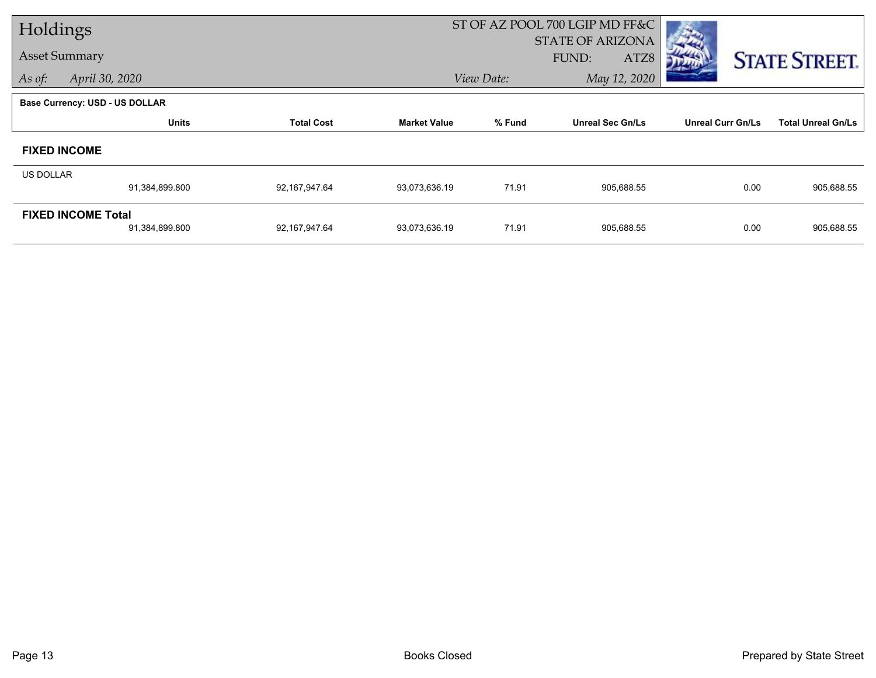| Holdings                 |                                             |                   |                     |                                          | ST OF AZ POOL 700 LGIP MD FF&C |                          |                           |
|--------------------------|---------------------------------------------|-------------------|---------------------|------------------------------------------|--------------------------------|--------------------------|---------------------------|
| <b>Asset Summary</b>     |                                             |                   |                     | <b>STATE OF ARIZONA</b><br>FUND:<br>ATZ8 |                                |                          | <b>STATE STREET.</b>      |
| April 30, 2020<br>As of: |                                             |                   | View Date:          | May 12, 2020                             |                                |                          |                           |
|                          | <b>Base Currency: USD - US DOLLAR</b>       |                   |                     |                                          |                                |                          |                           |
|                          | <b>Units</b>                                | <b>Total Cost</b> | <b>Market Value</b> | % Fund<br><b>Unreal Sec Gn/Ls</b>        |                                | <b>Unreal Curr Gn/Ls</b> | <b>Total Unreal Gn/Ls</b> |
| <b>FIXED INCOME</b>      |                                             |                   |                     |                                          |                                |                          |                           |
| US DOLLAR                |                                             |                   |                     |                                          |                                |                          |                           |
|                          | 91,384,899.800                              | 92,167,947.64     | 93,073,636.19       | 71.91                                    | 905,688.55                     | 0.00                     | 905,688.55                |
|                          | <b>FIXED INCOME Total</b><br>91,384,899.800 | 92,167,947.64     | 93,073,636.19       | 71.91                                    | 905,688.55                     | 0.00                     | 905,688.55                |
|                          |                                             |                   |                     |                                          |                                |                          |                           |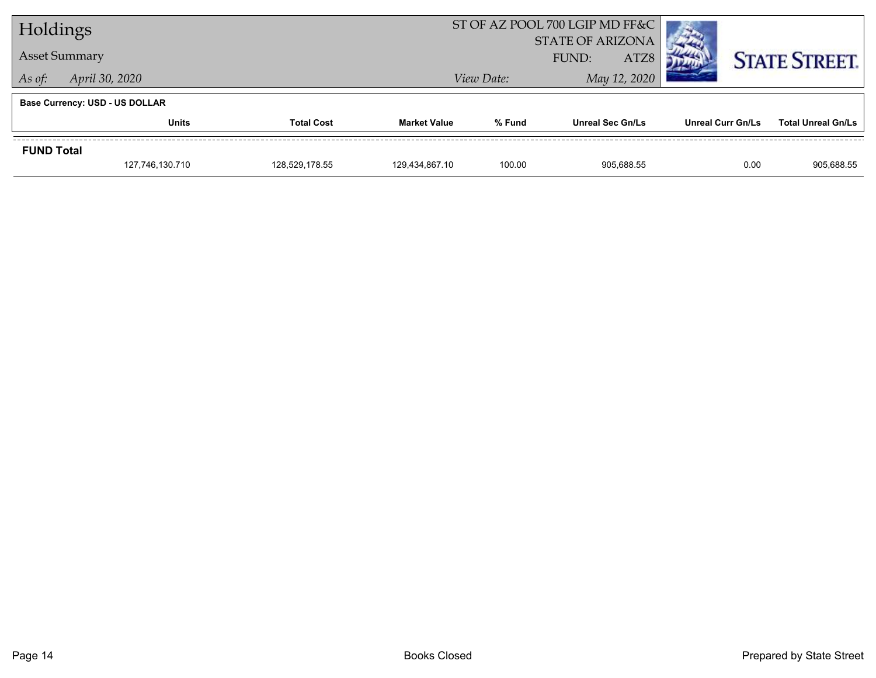| Holdings             |                                       |                                                                               |                | ST OF AZ POOL 700 LGIP MD FF&C  |                           |                      |            |
|----------------------|---------------------------------------|-------------------------------------------------------------------------------|----------------|---------------------------------|---------------------------|----------------------|------------|
|                      |                                       |                                                                               |                | <b>STATE OF ARIZONA</b><br>ATZ8 |                           |                      |            |
| <b>Asset Summary</b> |                                       |                                                                               | FUND:          |                                 |                           | <b>STATE STREET.</b> |            |
| As of:               | April 30, 2020                        |                                                                               |                | View Date:                      | May 12, 2020              |                      |            |
|                      | <b>Base Currency: USD - US DOLLAR</b> |                                                                               |                |                                 |                           |                      |            |
|                      | <b>Units</b>                          | % Fund<br><b>Total Cost</b><br><b>Market Value</b><br><b>Unreal Sec Gn/Ls</b> |                | Unreal Curr Gn/Ls               | <b>Total Unreal Gn/Ls</b> |                      |            |
| <b>FUND Total</b>    |                                       |                                                                               |                |                                 |                           |                      |            |
|                      | 127,746,130.710                       | 128,529,178.55                                                                | 129,434,867.10 | 100.00                          | 905,688.55                | 0.00                 | 905,688.55 |